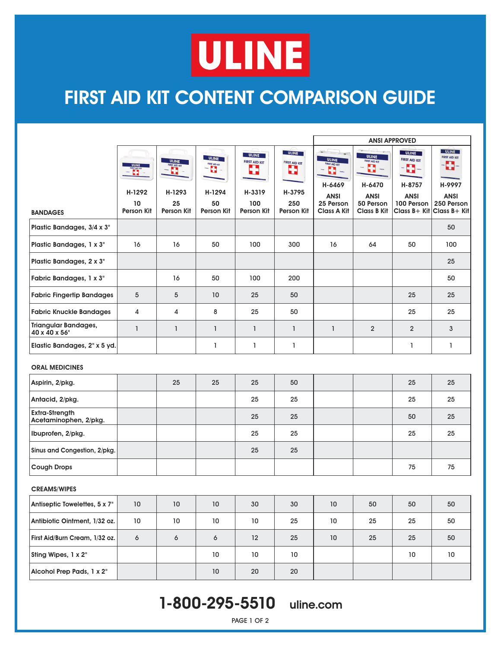# **ULINE**

## **FIRST AID KIT CONTENT COMPARISON GUIDE**

|                                                |                                           |                                  |                                        |                                                     |                                                     | <b>ANSI APPROVED</b>                                                          |                                                                                   |                                                                                 |                                                                    |
|------------------------------------------------|-------------------------------------------|----------------------------------|----------------------------------------|-----------------------------------------------------|-----------------------------------------------------|-------------------------------------------------------------------------------|-----------------------------------------------------------------------------------|---------------------------------------------------------------------------------|--------------------------------------------------------------------|
|                                                | <b>ULINE</b><br><b>THE REAL</b><br>H-1292 | ULINE<br>FIRST AID KIT<br>H-1293 | <b>ULINE</b><br>FIRST AID KT<br>H-1294 | <b>ULINE</b><br><b>FIRST AID KIT</b><br>5<br>H-3319 | <b>ULINE</b><br><b>FIRST AID KIT</b><br>8<br>H-3795 | <b>ULINE</b><br><b>FIRST AID KIT</b><br>$\mathbf{L}$<br>H-6469<br><b>ANSI</b> | <b>ULINE</b><br><b>FIRST AID KIT</b><br>G<br><b>CALL</b><br>H-6470<br><b>ANSI</b> | <b>ULINE</b><br><b>FIRST AID KIT</b><br>$\blacksquare$<br>H-8757<br><b>ANSI</b> | <b>ULINE</b><br><b>FIRST AID KIT</b><br>H<br>H-9997<br><b>ANSI</b> |
| <b>BANDAGES</b>                                | 10<br><b>Person Kit</b>                   | 25<br><b>Person Kit</b>          | 50<br><b>Person Kit</b>                | 100<br><b>Person Kit</b>                            | 250<br><b>Person Kit</b>                            | 25 Person<br><b>Class A Kit</b>                                               | 50 Person<br><b>Class B Kit</b>                                                   | 100 Person<br>Class B+ Kit                                                      | 250 Person<br>Class B+ Kit                                         |
| Plastic Bandages, 3/4 x 3"                     |                                           |                                  |                                        |                                                     |                                                     |                                                                               |                                                                                   |                                                                                 | 50                                                                 |
| Plastic Bandages, 1 x 3"                       | 16                                        | 16                               | 50                                     | 100                                                 | 300                                                 | 16                                                                            | 64                                                                                | 50                                                                              | 100                                                                |
| Plastic Bandages, 2 x 3"                       |                                           |                                  |                                        |                                                     |                                                     |                                                                               |                                                                                   |                                                                                 | 25                                                                 |
| Fabric Bandages, 1 x 3"                        |                                           | 16                               | 50                                     | 100                                                 | 200                                                 |                                                                               |                                                                                   |                                                                                 | 50                                                                 |
| <b>Fabric Fingertip Bandages</b>               | 5                                         | 5                                | 10                                     | 25                                                  | 50                                                  |                                                                               |                                                                                   | 25                                                                              | 25                                                                 |
| <b>Fabric Knuckle Bandages</b>                 | 4                                         | 4                                | 8                                      | 25                                                  | 50                                                  |                                                                               |                                                                                   | 25                                                                              | 25                                                                 |
| <b>Triangular Bandages,</b><br>40 x 40 x 56"   | $\mathbf{I}$                              | $\mathbf{1}$                     | $\mathbf{I}$                           | 1                                                   | $\mathbf{1}$                                        | $\mathbf{1}$                                                                  | $\overline{2}$                                                                    | $\overline{2}$                                                                  | 3                                                                  |
| Elastic Bandages, 2" x 5 yd.                   |                                           |                                  | 1                                      | 1                                                   | 1                                                   |                                                                               |                                                                                   | 1                                                                               | 1                                                                  |
| <b>ORAL MEDICINES</b>                          |                                           |                                  |                                        |                                                     |                                                     |                                                                               |                                                                                   |                                                                                 |                                                                    |
| Aspirin, 2/pkg.                                |                                           | 25                               | 25                                     | 25                                                  | 50                                                  |                                                                               |                                                                                   | 25                                                                              | 25                                                                 |
| Antacid, 2/pkg.                                |                                           |                                  |                                        | 25                                                  | 25                                                  |                                                                               |                                                                                   | 25                                                                              | 25                                                                 |
| <b>Extra-Strength</b><br>Acetaminophen, 2/pkg. |                                           |                                  |                                        | 25                                                  | 25                                                  |                                                                               |                                                                                   | 50                                                                              | 25                                                                 |
| Ibuprofen, 2/pkg.                              |                                           |                                  |                                        | 25                                                  | 25                                                  |                                                                               |                                                                                   | 25                                                                              | 25                                                                 |
| Sinus and Congestion, 2/pkg.                   |                                           |                                  |                                        | 25                                                  | 25                                                  |                                                                               |                                                                                   |                                                                                 |                                                                    |
| <b>Cough Drops</b>                             |                                           |                                  |                                        |                                                     |                                                     |                                                                               |                                                                                   | 75                                                                              | 75                                                                 |
| <b>CREAMS/WIPES</b>                            |                                           |                                  |                                        |                                                     |                                                     |                                                                               |                                                                                   |                                                                                 |                                                                    |
| Antiseptic Towelettes, 5 x 7"                  | $10\,$                                    | $10\,$                           | $10\,$                                 | $30\,$                                              | $30\,$                                              | $10\,$                                                                        | ${\bf 50}$                                                                        | 50                                                                              | $50\,$                                                             |
| Antibiotic Ointment, 1/32 oz.                  | $10\,$                                    | $10\,$                           | $10\,$                                 | 10 <sup>°</sup>                                     | 25                                                  | 10 <sup>°</sup>                                                               | 25                                                                                | 25                                                                              | 50                                                                 |
| First Aid/Burn Cream, 1/32 oz.                 | $\pmb{\delta}$                            | $\boldsymbol{6}$                 | $\boldsymbol{6}$                       | 12                                                  | 25                                                  | $10\,$                                                                        | 25                                                                                | 25                                                                              | 50                                                                 |
| Sting Wipes, 1 x 2"                            |                                           |                                  | 10 <sub>10</sub>                       | 10 <sup>°</sup>                                     | 10 <sup>°</sup>                                     |                                                                               |                                                                                   | 10 <sub>10</sub>                                                                | 10 <sub>10</sub>                                                   |
| Alcohol Prep Pads, 1 x 2"                      |                                           |                                  | $10\,$                                 | 20                                                  | 20                                                  |                                                                               |                                                                                   |                                                                                 |                                                                    |

### 1-800-295-5510 uline.com

PAGE 1 OF 2